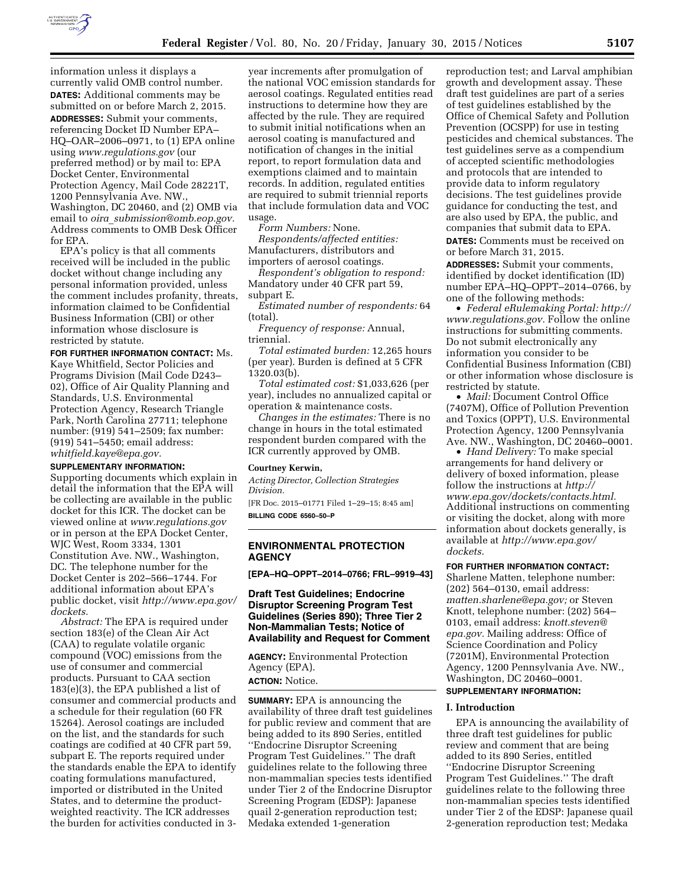

information unless it displays a currently valid OMB control number. **DATES:** Additional comments may be submitted on or before March 2, 2015.

**ADDRESSES:** Submit your comments, referencing Docket ID Number EPA– HQ–OAR–2006–0971, to (1) EPA online using *[www.regulations.gov](http://www.regulations.gov)* (our preferred method) or by mail to: EPA Docket Center, Environmental Protection Agency, Mail Code 28221T, 1200 Pennsylvania Ave. NW., Washington, DC 20460, and (2) OMB via email to *oira*\_*[submission@omb.eop.gov.](mailto:oira_submission@omb.eop.gov)*  Address comments to OMB Desk Officer for EPA.

EPA's policy is that all comments received will be included in the public docket without change including any personal information provided, unless the comment includes profanity, threats, information claimed to be Confidential Business Information (CBI) or other information whose disclosure is restricted by statute.

**FOR FURTHER INFORMATION CONTACT:** Ms. Kaye Whitfield, Sector Policies and Programs Division (Mail Code D243– 02), Office of Air Quality Planning and Standards, U.S. Environmental Protection Agency, Research Triangle Park, North Carolina 27711; telephone number: (919) 541–2509; fax number: (919) 541–5450; email address: *[whitfield.kaye@epa.gov.](mailto:whitfield.kaye@epa.gov)* 

#### **SUPPLEMENTARY INFORMATION:**

Supporting documents which explain in detail the information that the EPA will be collecting are available in the public docket for this ICR. The docket can be viewed online at *[www.regulations.gov](http://www.regulations.gov)*  or in person at the EPA Docket Center, WJC West, Room 3334, 1301 Constitution Ave. NW., Washington, DC. The telephone number for the Docket Center is 202–566–1744. For additional information about EPA's public docket, visit *[http://www.epa.gov/](http://www.epa.gov/dockets)  [dockets.](http://www.epa.gov/dockets)* 

*Abstract:* The EPA is required under section 183(e) of the Clean Air Act (CAA) to regulate volatile organic compound (VOC) emissions from the use of consumer and commercial products. Pursuant to CAA section 183(e)(3), the EPA published a list of consumer and commercial products and a schedule for their regulation (60 FR 15264). Aerosol coatings are included on the list, and the standards for such coatings are codified at 40 CFR part 59, subpart E. The reports required under the standards enable the EPA to identify coating formulations manufactured, imported or distributed in the United States, and to determine the productweighted reactivity. The ICR addresses the burden for activities conducted in 3-

year increments after promulgation of the national VOC emission standards for aerosol coatings. Regulated entities read instructions to determine how they are affected by the rule. They are required to submit initial notifications when an aerosol coating is manufactured and notification of changes in the initial report, to report formulation data and exemptions claimed and to maintain records. In addition, regulated entities are required to submit triennial reports that include formulation data and VOC usage.

*Form Numbers:* None.

*Respondents/affected entities:*  Manufacturers, distributors and importers of aerosol coatings.

*Respondent's obligation to respond:*  Mandatory under 40 CFR part 59, subpart E.

*Estimated number of respondents:* 64 (total).

*Frequency of response:* Annual, triennial.

*Total estimated burden:* 12,265 hours (per year). Burden is defined at 5 CFR 1320.03(b).

*Total estimated cost:* \$1,033,626 (per year), includes no annualized capital or operation & maintenance costs.

*Changes in the estimates:* There is no change in hours in the total estimated respondent burden compared with the ICR currently approved by OMB.

#### **Courtney Kerwin,**

*Acting Director, Collection Strategies Division.* 

[FR Doc. 2015–01771 Filed 1–29–15; 8:45 am] **BILLING CODE 6560–50–P** 

## **ENVIRONMENTAL PROTECTION AGENCY**

**[EPA–HQ–OPPT–2014–0766; FRL–9919–43]** 

## **Draft Test Guidelines; Endocrine Disruptor Screening Program Test Guidelines (Series 890); Three Tier 2 Non-Mammalian Tests; Notice of Availability and Request for Comment**

**AGENCY:** Environmental Protection Agency (EPA). **ACTION:** Notice.

**SUMMARY:** EPA is announcing the availability of three draft test guidelines for public review and comment that are being added to its 890 Series, entitled ''Endocrine Disruptor Screening Program Test Guidelines.'' The draft guidelines relate to the following three non-mammalian species tests identified under Tier 2 of the Endocrine Disruptor Screening Program (EDSP): Japanese quail 2-generation reproduction test; Medaka extended 1-generation

reproduction test; and Larval amphibian growth and development assay. These draft test guidelines are part of a series of test guidelines established by the Office of Chemical Safety and Pollution Prevention (OCSPP) for use in testing pesticides and chemical substances. The test guidelines serve as a compendium of accepted scientific methodologies and protocols that are intended to provide data to inform regulatory decisions. The test guidelines provide guidance for conducting the test, and are also used by EPA, the public, and companies that submit data to EPA. **DATES:** Comments must be received on or before March 31, 2015.

**ADDRESSES:** Submit your comments, identified by docket identification (ID) number EPA–HQ–OPPT–2014–0766, by one of the following methods:

• *Federal eRulemaking Portal: [http://](http://www.regulations.gov)  [www.regulations.gov.](http://www.regulations.gov)* Follow the online instructions for submitting comments. Do not submit electronically any information you consider to be Confidential Business Information (CBI) or other information whose disclosure is restricted by statute.

• *Mail: Document Control Office* (7407M), Office of Pollution Prevention and Toxics (OPPT), U.S. Environmental Protection Agency, 1200 Pennsylvania Ave. NW., Washington, DC 20460–0001.

• *Hand Delivery:* To make special arrangements for hand delivery or delivery of boxed information, please follow the instructions at *[http://](http://www.epa.gov/dockets/contacts.html) [www.epa.gov/dockets/contacts.html.](http://www.epa.gov/dockets/contacts.html)*  Additional instructions on commenting or visiting the docket, along with more information about dockets generally, is available at *[http://www.epa.gov/](http://www.epa.gov/dockets) [dockets.](http://www.epa.gov/dockets)* 

### **FOR FURTHER INFORMATION CONTACT:**

Sharlene Matten, telephone number: (202) 564–0130, email address: *[matten.sharlene@epa.gov;](mailto:matten.sharlene@epa.gov)* or Steven Knott, telephone number: (202) 564– 0103, email address: *[knott.steven@](mailto:knott.steven@epa.gov) [epa.gov.](mailto:knott.steven@epa.gov)* Mailing address: Office of Science Coordination and Policy (7201M), Environmental Protection Agency, 1200 Pennsylvania Ave. NW., Washington, DC 20460–0001.

# **SUPPLEMENTARY INFORMATION:**

#### **I. Introduction**

EPA is announcing the availability of three draft test guidelines for public review and comment that are being added to its 890 Series, entitled ''Endocrine Disruptor Screening Program Test Guidelines.'' The draft guidelines relate to the following three non-mammalian species tests identified under Tier 2 of the EDSP: Japanese quail 2-generation reproduction test; Medaka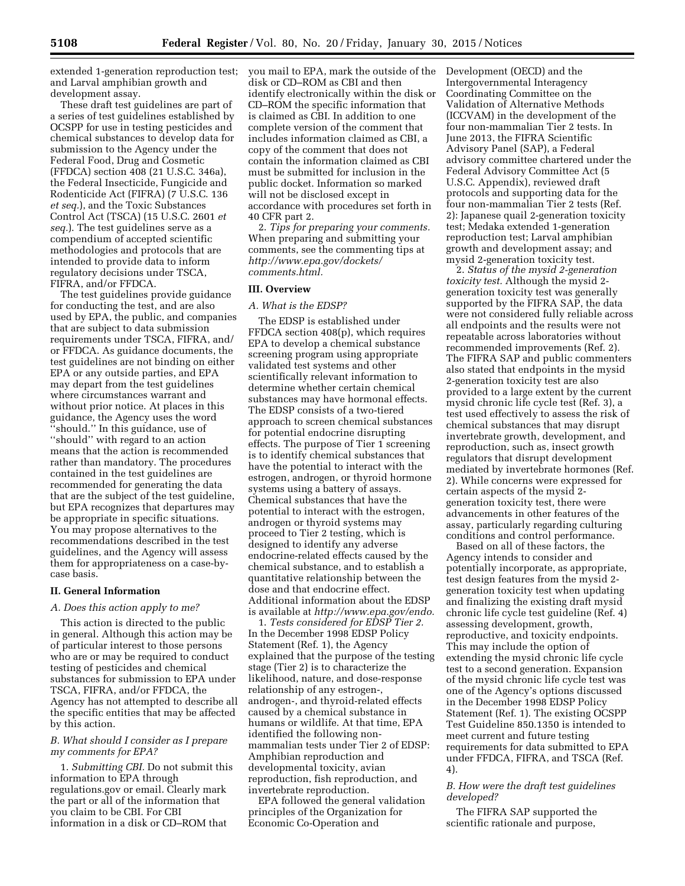extended 1-generation reproduction test; and Larval amphibian growth and development assay.

These draft test guidelines are part of a series of test guidelines established by OCSPP for use in testing pesticides and chemical substances to develop data for submission to the Agency under the Federal Food, Drug and Cosmetic (FFDCA) section 408 (21 U.S.C. 346a), the Federal Insecticide, Fungicide and Rodenticide Act (FIFRA) (7 U.S.C. 136 *et seq.*), and the Toxic Substances Control Act (TSCA) (15 U.S.C. 2601 *et seq.*). The test guidelines serve as a compendium of accepted scientific methodologies and protocols that are intended to provide data to inform regulatory decisions under TSCA, FIFRA, and/or FFDCA.

The test guidelines provide guidance for conducting the test, and are also used by EPA, the public, and companies that are subject to data submission requirements under TSCA, FIFRA, and/ or FFDCA. As guidance documents, the test guidelines are not binding on either EPA or any outside parties, and EPA may depart from the test guidelines where circumstances warrant and without prior notice. At places in this guidance, the Agency uses the word ''should.'' In this guidance, use of ''should'' with regard to an action means that the action is recommended rather than mandatory. The procedures contained in the test guidelines are recommended for generating the data that are the subject of the test guideline, but EPA recognizes that departures may be appropriate in specific situations. You may propose alternatives to the recommendations described in the test guidelines, and the Agency will assess them for appropriateness on a case-bycase basis.

#### **II. General Information**

## *A. Does this action apply to me?*

This action is directed to the public in general. Although this action may be of particular interest to those persons who are or may be required to conduct testing of pesticides and chemical substances for submission to EPA under TSCA, FIFRA, and/or FFDCA, the Agency has not attempted to describe all the specific entities that may be affected by this action.

## *B. What should I consider as I prepare my comments for EPA?*

1. *Submitting CBI.* Do not submit this information to EPA through regulations.gov or email. Clearly mark the part or all of the information that you claim to be CBI. For CBI information in a disk or CD–ROM that

you mail to EPA, mark the outside of the disk or CD–ROM as CBI and then identify electronically within the disk or CD–ROM the specific information that is claimed as CBI. In addition to one complete version of the comment that includes information claimed as CBI, a copy of the comment that does not contain the information claimed as CBI must be submitted for inclusion in the public docket. Information so marked will not be disclosed except in accordance with procedures set forth in 40 CFR part 2.

2. *Tips for preparing your comments.*  When preparing and submitting your comments, see the commenting tips at *[http://www.epa.gov/dockets/](http://www.epa.gov/dockets/comments.html) [comments.html.](http://www.epa.gov/dockets/comments.html)* 

## **III. Overview**

#### *A. What is the EDSP?*

The EDSP is established under FFDCA section 408(p), which requires EPA to develop a chemical substance screening program using appropriate validated test systems and other scientifically relevant information to determine whether certain chemical substances may have hormonal effects. The EDSP consists of a two-tiered approach to screen chemical substances for potential endocrine disrupting effects. The purpose of Tier 1 screening is to identify chemical substances that have the potential to interact with the estrogen, androgen, or thyroid hormone systems using a battery of assays. Chemical substances that have the potential to interact with the estrogen, androgen or thyroid systems may proceed to Tier 2 testing, which is designed to identify any adverse endocrine-related effects caused by the chemical substance, and to establish a quantitative relationship between the dose and that endocrine effect. Additional information about the EDSP is available at *[http://www.epa.gov/endo.](http://www.epa.gov/endo)* 

1. *Tests considered for EDSP Tier 2.*  In the December 1998 EDSP Policy Statement (Ref. 1), the Agency explained that the purpose of the testing stage (Tier 2) is to characterize the likelihood, nature, and dose-response relationship of any estrogen-, androgen-, and thyroid-related effects caused by a chemical substance in humans or wildlife. At that time, EPA identified the following nonmammalian tests under Tier 2 of EDSP: Amphibian reproduction and developmental toxicity, avian reproduction, fish reproduction, and invertebrate reproduction.

EPA followed the general validation principles of the Organization for Economic Co-Operation and

Development (OECD) and the Intergovernmental Interagency Coordinating Committee on the Validation of Alternative Methods (ICCVAM) in the development of the four non-mammalian Tier 2 tests. In June 2013, the FIFRA Scientific Advisory Panel (SAP), a Federal advisory committee chartered under the Federal Advisory Committee Act (5 U.S.C. Appendix), reviewed draft protocols and supporting data for the four non-mammalian Tier 2 tests (Ref. 2): Japanese quail 2-generation toxicity test; Medaka extended 1-generation reproduction test; Larval amphibian growth and development assay; and mysid 2-generation toxicity test.

2. *Status of the mysid 2-generation toxicity test.* Although the mysid 2 generation toxicity test was generally supported by the FIFRA SAP, the data were not considered fully reliable across all endpoints and the results were not repeatable across laboratories without recommended improvements (Ref. 2). The FIFRA SAP and public commenters also stated that endpoints in the mysid 2-generation toxicity test are also provided to a large extent by the current mysid chronic life cycle test (Ref. 3), a test used effectively to assess the risk of chemical substances that may disrupt invertebrate growth, development, and reproduction, such as, insect growth regulators that disrupt development mediated by invertebrate hormones (Ref. 2). While concerns were expressed for certain aspects of the mysid 2 generation toxicity test, there were advancements in other features of the assay, particularly regarding culturing conditions and control performance.

Based on all of these factors, the Agency intends to consider and potentially incorporate, as appropriate, test design features from the mysid 2 generation toxicity test when updating and finalizing the existing draft mysid chronic life cycle test guideline (Ref. 4) assessing development, growth, reproductive, and toxicity endpoints. This may include the option of extending the mysid chronic life cycle test to a second generation. Expansion of the mysid chronic life cycle test was one of the Agency's options discussed in the December 1998 EDSP Policy Statement (Ref. 1). The existing OCSPP Test Guideline 850.1350 is intended to meet current and future testing requirements for data submitted to EPA under FFDCA, FIFRA, and TSCA (Ref. 4).

## *B. How were the draft test guidelines developed?*

The FIFRA SAP supported the scientific rationale and purpose,